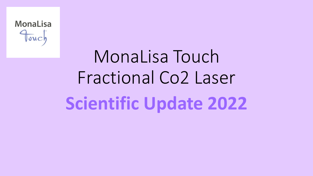

# MonaLisa Touch Fractional Co2 Laser **Scientific Update 2022**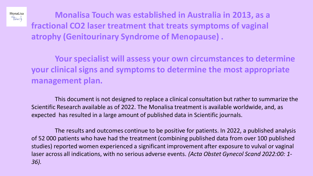**Monalisa Touch was established in Australia in 2013, as a fractional CO2 laser treatment that treats symptoms of vaginal atrophy (Genitourinary Syndrome of Menopause) .** 

MonaLisa Fouch

> **Your specialist will assess your own circumstances to determine your clinical signs and symptoms to determine the most appropriate management plan.**

This document is not designed to replace a clinical consultation but rather to summarize the Scientific Research available as of 2022. The Monalisa treatment is available worldwide, and, as expected has resulted in a large amount of published data in Scientific journals.

The results and outcomes continue to be positive for patients. In 2022, a published analysis of 52 000 patients who have had the treatment (combining published data from over 100 published studies) reported women experienced a significant improvement after exposure to vulval or vaginal laser across all indications, with no serious adverse events. *(Acta Obstet Gynecol Scand 2022:00: 1- 36).*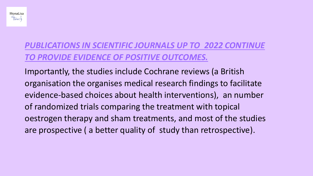

# *PUBLICATIONS IN SCIENTIFIC JOURNALS UP TO 2022 CONTINUE TO PROVIDE EVIDENCE OF POSITIVE OUTCOMES.*

Importantly, the studies include Cochrane reviews (a British organisation the organises medical research findings to facilitate evidence-based choices about health interventions), an number of randomized trials comparing the treatment with topical oestrogen therapy and sham treatments, and most of the studies are prospective ( a better quality of study than retrospective).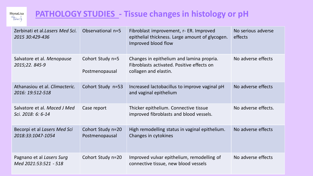

# **PATHOLOGY STUDIES - Tissue changes in histology or pH**

| Zerbinati et al. Lasers Med Sci.<br>2015 30:429-436 | Observational n=5                   | Fibroblast improvement, r- ER. Improved<br>epithelial thickness. Large amount of glycogen.<br>Improved blood flow | No serious adverse<br>effects |
|-----------------------------------------------------|-------------------------------------|-------------------------------------------------------------------------------------------------------------------|-------------------------------|
| Salvatore et al. Menopause<br>2015;22. 845-9        | Cohort Study n=5<br>Postmenopausal  | Changes in epithelium and lamina propria.<br>Fibroblasts activated. Positive effects on<br>collagen and elastin.  | No adverse effects            |
| Athanasiou et al. Climacteric.<br>2016: 19:512-518  | Cohort Study n=53                   | Increased lactobacillus to improve vaginal pH<br>and vaginal epithelium                                           | No adverse effects            |
| Salvatore et al. Maced J Med<br>Sci. 2018: 6: 6-14  | Case report                         | Thicker epithelium. Connective tissue<br>improved fibroblasts and blood vessels.                                  | No adverse effects.           |
| Becorpi et al Lasers Med Sci<br>2018:33:1047-1054   | Cohort Study n=20<br>Postmenopausal | High remodelling status in vaginal epithelium.<br>Changes in cytokines                                            | No adverse effects            |
| Pagnano et al Lasers Surg<br>Med 2021:53:521 - 518  | Cohort Study n=20                   | Improved vulvar epithelium, remodelling of<br>connective tissue, new blood vessels                                | No adverse effects            |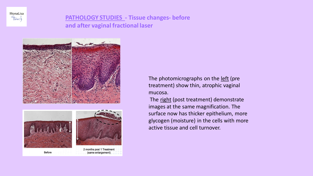

## **PATHOLOGY STUDIES - Tissue changes- before and after vaginal fractional laser**







(same enlargement)

**Before** 

The photomicrographs on the left (pre treatment) show thin, atrophic vaginal mucosa.

The right (post treatment) demonstrate images at the same magnification. The surface now has thicker epithelium, more glycogen (moisture) in the cells with more active tissue and cell turnover.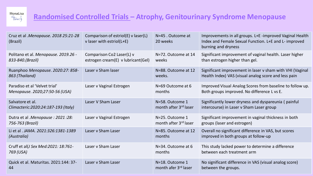

## **Randomised Controlled Trials – Atrophy, Genitourinary Syndrome Menopause**

| Cruz et al .Menopause. 2018 25:21-28<br>(Brazil) | Comparison of estriol(E) v laser(L)<br>$v$ laser with estriol( $L+E$ ) | N=45. Outcome at<br>20 weeks      | Improvements in all groups. L+E -improved Vaginal Health<br>Index and Female Sexual Function. L+E and L- improved<br>burning and dryness |
|--------------------------------------------------|------------------------------------------------------------------------|-----------------------------------|------------------------------------------------------------------------------------------------------------------------------------------|
| Politano et al. Menopause. 2019.26 -             | Comparison Co2 Laser(L) v                                              | N=72. Outcome at 14               | Significant improvement of vaginal health. Laser higher                                                                                  |
| 833-840.(Brazil)                                 | estrogen cream(E) v lubricant(Gel)                                     | weeks                             | than estrogen higher than gel.                                                                                                           |
| Ruanphoo Menopause. 2020:27: 858-                | Laser v Sham laser                                                     | N=88. Outcome at 12               | Significant improvement in laser v sham with VHI (Vaginal                                                                                |
| 863 (Thailand)                                   |                                                                        | weeks.                            | Health Index) VAS (visual analog score and less pain                                                                                     |
| Paradiso et al 'Velvet trial'                    | Laser v Vaginal Estrogen                                               | N=69 Outcome at 6                 | Improved Visual Analog Scores from baseline to follow up.                                                                                |
| Menopause. 2020;27:50-56 (USA)                   |                                                                        | months                            | Both groups improved. No difference L vs E.                                                                                              |
| Salvatore et al.                                 | Laser V Sham Laser                                                     | N=58. Outcome 1                   | Significantly lower dryness and dyspareunia (painful                                                                                     |
| Climacteric:2020:24:187-193 (Italy)              |                                                                        | month after 3 <sup>rd</sup> laser | intercourse) in Laser v Sham Laser group                                                                                                 |
| Dutra et al .Menopause : 2021 :28:               | Laser v Vaginal Estrogen                                               | N=25. Outcome 1                   | Significant improvement in vaginal thickness in both                                                                                     |
| 756-763 (Brazil)                                 |                                                                        | month after 3 <sup>rd</sup> laser | groups (laser and estrogen)                                                                                                              |
| Li et al . JAMA. 2021:326:1381-1389              | Laser v Sham Laser                                                     | N=85. Outcome at 12               | Overall no significant difference in VAS, but scores                                                                                     |
| (Australia)                                      |                                                                        | months                            | improved in both groups at follow-up                                                                                                     |
| Cruff et al(J Sex Med:2021: 18:761-              | Laser v Sham Laser                                                     | N=34. Outcome at 6                | This study lacked power to determine a difference                                                                                        |
| 769 (USA)                                        |                                                                        | months                            | between each treatment arm                                                                                                               |
| Quick et al. Maturitas. 2021:144: 37-            | Laser v Sham Laser                                                     | N=18. Outcome 1                   | No significant difference in VAS (visual analog score)                                                                                   |
| 44                                               |                                                                        | month afer 3 <sup>rd</sup> laser  | between the groups.                                                                                                                      |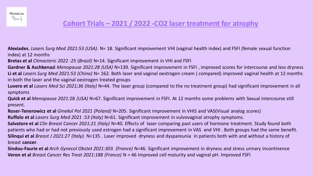

**Alexiades.** *Lasers Surg Med 2021:53 (USA).* N= 18*.* Significant improvement VHI (vaginal health index) and FSFI (female sexual function index) at 12 months

**Bretas et al** *Climacteric 2022 :25* (*Brazil)* N=14. Significant improvement in VHI and FSFI

**Gardner & Aschkenazi** *Menopause 2021:28 (USA)* N=139. Significant improvement in FSFI , improved scores for intercourse and less dryness **Li et al** *Lasers Surg Med 2021:53 (China)* N= 162. Both laser and vaginal oestrogen cream ( compared) improved vaginal health at 12 months in both the laser and the vaginal oestrogen treated groups

**Luvero et al** *Lasers Med Sci 2021;36 (Italy)* N=44. The laser group (compared to the no treatment group) had significant improvement in all symptoms

**Quick et al** *Menopause 2021:*28 *(USA)* N=67. Significant improvement in FSFI. At 12 months some problems with Sexual intercourse still present.

**Roser-Tenerowicz et al** *Ginekol Pol 2021 (Poland)* N=205. Significant improvement in VHIS and VAS(Visual analog scores)

**Ruffolo et al** *Lasers Surg Med 2021 :53 (Italy)* N=61. Significant improvement in vulvovaginal atrophy symptoms.

**Salvatore et al** *Clin Breast Cancer 2021:21 (Italy)* N=40. Effects of laser comparing past users of hormone treatment. Study found both patients who had or had not previously used estrogen had a significant improvement in VAS and VHI . Both groups had the same benefit. **Silinqui et al** *Breast J 2021:27 (Italy).* N=135 . Laser improved dryness and dyspareunia in patients both with and without a history of breast **cancer**.

**Sindou-Faurie et al** *Arch Gynecol Obstet 2021:303. (France)* N=46. Significant improvement in dryness and stress urinary incontinence **Veron et al** *Breast Cancer Res Treat 2021:188 (France)* N = 46 Improved cell maturity and vaginal pH. Improved FSFI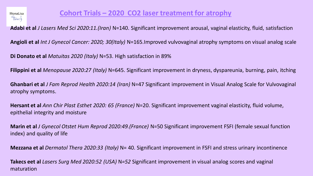

**Adabi et al** *J Lasers Med Sci 2020:11.(Iran)* N=140. Significant improvement arousal, vaginal elasticity, fluid, satisfaction

**Angioli et al** *Int J Gynecol Cancer: 2020; 30(Italy)* N=165.Improved vulvovaginal atrophy symptoms on visual analog scale

**Di Donato et al** *Matuitas 2020 (Italy)* N=53. High satisfaction in 89%

**Filippini et al** *Menopause 2020:27 (Italy)* N=645. Significant improvement in dryness, dyspareunia, burning, pain, itching

**Ghanbari et al** *J Fam Reprod Health 2020:14 (Iran)* N=47 Significant improvement in Visual Analog Scale for Vulvovaginal atrophy symptoms.

**Hersant et al** *Ann Chir Plast Esthet 2020: 65 (France)* N=20. Significant improvement vaginal elasticity, fluid volume, epithelial integrity and moisture

**Marin et al** *J Gynecol Otstet Hum Reprod 2020:49.(France)* N=50 Significant improvement FSFI (female sexual function index) and quality of life

**Mezzana et al** *D*e*rmatol Thera 2020:33 (Italy)* N= 40. Significant improvement in FSFI and stress urinary incontinence

**Takecs eet al** *Lasers Surg Med 2020:52 (USA)* N*=52* Significant improvement in visual analog scores and vaginal maturation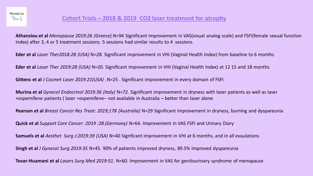

**Athansiou et al** *Menopause 2019:26 (Greece).*N=94 Significant improvement in VAS(visual analog scale) and FSFI(female sexual function index) after 3, 4 or 5 treatment sessions. 5 sessions had similar results to 4 sessions.

**Eder et al** *Laser Ther2018:28 (USA)* N*=28.* Significant improvement in VHI (Vaginal Health Index) from baseline to 6 months

**Eder et al** *Laser Ther 2019:28 (USA)* N=20. Significant improvement in VHI (Vaginal Health Index) at 12 15 and 18 months

**Gittens et al** *J Cosmet Laser 2019:21(USA) .*N=25 . Significant improvement in every domain of FSFI

**Murina et al** *Gynecol Endocrinol 2019:36 (Italy)* N*=72.* Significant improvement in dryness with laser patients as well as laser +ospemifene patients ( laser +ospemifene– not available in Australia – better than laser alone

**Pearson et al** *Breast Cancer Res Treat: 2019;178 (Australia)* N=29 Significant improvement in dryness, burning and dyspareunia

**Quick et al** *Support Care Cancer :2019 :28.(Germany)* N=64. Improvement in VAS FSFI and Urinary Diary

**Samuels et al** *Aesthet Surg J:2019:39 (USA)* N=40 Signficant improvement in VHI at 6 months, and in all evaulations

**Singh et al** *J Gynecol Surg 2019:35* N=45. 90% of patients improved dryness, 89.5% improved dyspareunia

**Tovar-Huamani et al** *Lasers Surg Med 2019:51.* N=60. Improvement in VAS for genitourinary syndrome of menopause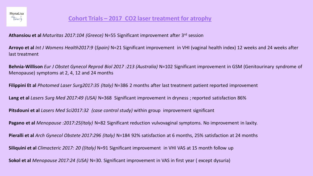

**Athansiou et al** *Maturitas 2017:104 (Greece)* N=55 Significant improvement after 3rd session

**Arroyo et al** *Int J Womens Health2017:9* (*Spain)* N=21 Significant improvement in VHI (vaginal health index) 12 weeks and 24 weeks after last treatment

**Behnia-Willison** *Eur J Obstet Gynecol Reprod Biol 2017 :213 (Australia)* N=102 Significant improvement in GSM (Genitourinary syndrome of Menopause) symptoms at 2, 4, 12 and 24 months

**Filippini Et al** *Photomed Laser Surg2017:35 (Italy)* N=386 2 months after last treatment patient reported improvement

**Lang et al** *Lasers Surg Med 2017:49 (USA)* N=368 Significant improvement in dryness ; reported satisfaction 86%

**Pitsdouni et al** *Lasers Med Sci2017:32 (case control study)* within group improvement significant

**Pagano et al** *Menopause :2017:25(Italy)* N=82 Significant reduction vulvovaginal symptoms. No improvement in laxity.

**Pieralli et al** *Arch Gynecol Obstete 2017:296 (Italy)* N=184 92% satisfaction at 6 months, 25% satisfaction at 24 months

**Siliquini et al** *Climacteric 2017: 20 ((Italy)* N=91 Significant improvement in VHI VAS at 15 month follow up

**Sokol et al** *Menopause 2017:24 (USA)* N=30. Significant improvement in VAS in first year ( except dysuria)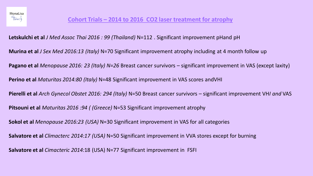## **Cohort Trials – 2014 to 2016 CO2 laser treatment for atrophy**

**Letskulchi et al** *J Med Assoc Thai 2016 : 99 (Thailand)* N=112 . Significant improvement pHand pH **Murina et al** *J Sex Med 2016:13 (Italy)* N=70 Significant improvement atrophy including at 4 month follow up **Pagano et al** *Menopause 2016: 23 (Italy) N=26* Breast cancer survivors – significant improvement in VAS (except laxity) **Perino et al** *Maturitas 2014:80 (Italy)* N=48 Significant improvement in VAS scores andVHI **Pierelli et al** *Arch Gynecol Obstet 2016: 294 (Italy)* N=50 Breast cancer survivors – significant improvement VH*I and* VAS **Pitsouni et al** *Maturitas 2016 :94 ( (Greece)* N=53 Significant improvement atrophy **Sokol et al** *Menopause 2016:23 (USA)* N=30 Significant improvement in VAS for all categories **Salvatore et al** *Climacterc 2014:17 (USA)* N=50 Significant improvement in VVA stores except for burning **Salvatore et al** *Cimacteric 2014:*18 (USA) N=77 Significant improvement in FSFI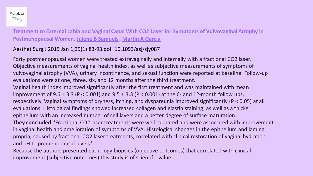

**Treatment to External Labia and Vaginal Canal With CO2 Laser for Symptoms of Vulvovaginal Atrophy in Postmenopausal Women. [Julene B Samuels](https://pubmed.ncbi.nlm.nih.gov/?term=Samuels+JB&cauthor_id=29726916), [Martin A Garcia](https://pubmed.ncbi.nlm.nih.gov/?term=Garcia+MA&cauthor_id=29726916)**

### Aesthet Surg J 2019 Jan 1;39(1):83-93.doi: 10.1093/asj/sjy087

Forty postmenopausal women were treated extravaginally and internally with a fractional CO2 laser. Objective measurements of vaginal health index, as well as subjective measurements of symptoms of vulvovaginal atrophy (VVA), urinary incontinence, and sexual function were reported at baseline. Follow-up evaluations were at one, three, six, and 12 months after the third treatment. Vaginal health index improved significantly after the first treatment and was maintained with mean improvement of 9.6  $\pm$  3.3 (P < 0.001) and 9.5  $\pm$  3.3 (P < 0.001) at the 6- and 12-month follow ups, respectively. Vaginal symptoms of dryness, itching, and dyspareunia improved significantly (P < 0.05) at all evaluations. Histological findings showed increased collagen and elastin staining, as well as a thicker epithelium with an increased number of cell layers and a better degree of surface maturation. **They concluded '**Fractional CO2 laser treatments were well tolerated and were associated with improvement in vaginal health and amelioration of symptoms of VVA. Histological changes in the epithelium and lamina propria, caused by fractional CO2 laser treatments, correlated with clinical restoration of vaginal hydration and pH to premenopausal levels.'

Because the authors presented pathology biopsies (objective outcomes) that correlated with clinical improvement (subjective outcomes) this study is of scientific value.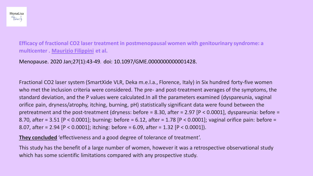**Efficacy of fractional CO2 laser treatment in postmenopausal women with genitourinary syndrome: a multicenter . [Maurizio Filippini](https://pubmed.ncbi.nlm.nih.gov/?term=Filippini+M&cauthor_id=31794500) et al.**

Menopause. 2020 Jan;27(1):43-49. doi: 10.1097/GME.0000000000001428.

Fractional CO2 laser system (SmartXide VLR, Deka m.e.l.a., Florence, Italy) in Six hundred forty-five women who met the inclusion criteria were considered. The pre- and post-treatment averages of the symptoms, the standard deviation, and the P values were calculated.In all the parameters examined (dyspareunia, vaginal orifice pain, dryness/atrophy, itching, burning, pH) statistically significant data were found between the pretreatment and the post-treatment (dryness: before = 8.30, after = 2.97 [P < 0.0001], dyspareunia: before = 8.70, after = 3.51 [P < 0.0001]; burning: before = 6.12, after = 1.78 [P < 0.0001]; vaginal orifice pain: before = 8.07, after = 2.94 [P < 0.0001]; itching: before = 6.09, after = 1.32 [P < 0.0001]).

**They concluded** 'effectiveness and a good degree of tolerance of treatment'.

This study has the benefit of a large number of women, however it was a retrospective observational study which has some scientific limitations compared with any prospective study.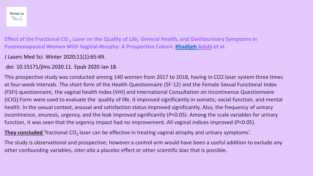

**Effect of the Fractional CO <sup>2</sup> Laser on the Quality of Life, General Health, and Genitourinary Symptoms in Postmenopausal Women With Vaginal Atrophy: A Prospective Cohort. [Khadijeh](https://pubmed.ncbi.nlm.nih.gov/?term=Adabi+K&cauthor_id=32099629) Adabi et al.**

- J Lasers Med Sci. Winter 2020;11(1):65-69.
- doi: 10.15171/jlms.2020.11. Epub 2020 Jan 18.

This prospective study was conducted among 140 women from 2017 to 2018, having in CO2 laser system three times at four-week intervals. The short form of the Health Questionnaire (SF-12) and the Female Sexual Functional Index (FSFI) questionnaire, the vaginal health index (VHI) and International Consultation on Incontinence Questionnaire (ICIQ) Form were used to evaluate the quality of life. It improved significantly in somatic, social function, and mental health. In the sexual context, arousal and satisfaction status improved significantly. Also, the frequency of urinary incontinence, enuresis, urgency, and the leak improved significantly (*P*<0.05). Among the scale variables for urinary function, it was seen that the urgency impact had no improvement. All vaginal indices improved (*P*<0.05).

**They concluded** 'fractional CO<sub>2</sub> laser can be effective in treating vaginal atrophy and urinary symptoms'.

The study is observational and prospective; however a control arm would have been a useful addition to exclude any other confounding variables, *inter alia* a placebo effect or other scientific bias that is possible.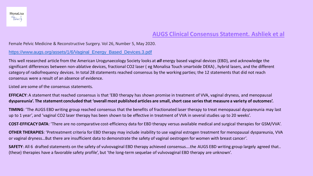#### **AUGS Clinical Consensus Statement. Ashliek et al**

#### Female Pelvic Medicine & Reconstructive Surgery. Vol 26, Number 5, May 2020.

#### [https://www.augs.org/assets/1/6/Vaginal\\_Energy\\_Based\\_Devices.3.pdf](https://www.augs.org/assets/1/6/Vaginal_Energy_Based_Devices.3.pdf)

This well researched article from the American Urogynaecology Society looks at *all* energy based vaginal devices (EBD), and acknowledge the significant differences between non-ablative devices, fractional CO2 laser ( eg Monalisa Touch smartxide DEKA) , hybrid lasers, and the different category of radiofrequency devices. In total 28 statements reached consensus by the working parties; the 12 statements that did not reach consensus were a result of an absence of evidence.

Listed are some of the consensus statements.

**EFFICACY**: A statement that reached consensus is that 'EBD therapy has shown promise in treatment of VVA, vaginal dryness, and menopausal **dyspareunia'. The statement concluded that 'overall most published articles are small, short case series that measure a variety of outcomes'.**

**TIMING**: 'The AUGS EBD writing group reached consensus that the benefits of fractionated laser therapy to treat menopausal dyspareunia may last up to 1 year', and 'vaginal CO2 laser therapy has been shown to be effective in treatment of VVA in several studies up to 20 weeks'.

**COST-EFFICACY DATA**: 'There are no comparative cost-efficiency data for EBD therapy versus available medical and surgical therapies for GSM/VVA'.

**OTHER THERAPIES**: 'Pretreatment criteria for EBD therapy may include inability to use vaginal estrogen treatment for menopausal dyspareunia, VVA or vaginal dryness…But there are insufficient data to demonstrate the safety of vaginal oestrogen for women with breast cancer'.

**SAFETY**: All 6 drafted statements on the safety of vulvovaginal EBD therapy achieved consensus….the AUGS EBD writing group largely agreed that.. (these) therapies have a favorable safety profile', but 'the long-term sequelae of vulvovaginal EBD therapy are unknown'.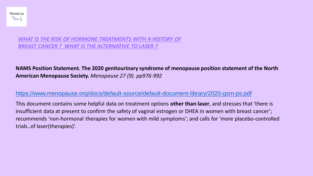

#### *WHAT IS THE RISK OF HORMONE TREATMENTS WITH A HISTORY OF BREAST CANCER ? WHAT IS THE ALTERNATIVE TO LASER ?*

#### **NAMS Position Statement. The 2020 genitourinary syndrome of menopause position statement of the North American Menopause Society.** *Menopause 27 (9). pp976-992*

#### <https://www.menopause.org/docs/default-source/default-document-library/2020-gsm-ps.pdf>

This document contains some helpful data on treatment options **other than laser**, and stresses that 'there is insufficient data at present to confirm the safety of vaginal estrogen or DHEA in women with breast cancer'; recommends 'non-hormonal therapies for women with mild symptoms'; and calls for 'more placebo-controlled trials..of laser(therapies)'.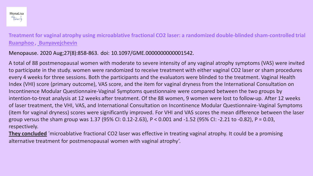**Treatment for vaginal atrophy using microablative fractional CO2 laser: a randomized double-blinded sham-controlled trial [Ruanphoo](https://pubmed.ncbi.nlm.nih.gov/?term=Ruanphoo+P&cauthor_id=32345787), [Bunyavejchevin](https://pubmed.ncbi.nlm.nih.gov/?term=Bunyavejchevin+S&cauthor_id=32345787)**

#### Menopause. 2020 Aug;27(8):858-863. doi: 10.1097/GME.0000000000001542.

A total of 88 postmenopausal women with moderate to severe intensity of any vaginal atrophy symptoms (VAS) were invited to participate in the study. women were randomized to receive treatment with either vaginal CO2 laser or sham procedures every 4 weeks for three sessions. Both the participants and the evaluators were blinded to the treatment. Vaginal Health Index (VHI) score (primary outcome), VAS score, and the item for vaginal dryness from the International Consultation on Incontinence Modular Questionnaire-Vaginal Symptoms questionnaire were compared between the two groups by intention-to-treat analysis at 12 weeks after treatment. Of the 88 women, 9 women were lost to follow-up. After 12 weeks of laser treatment, the VHI, VAS, and International Consultation on Incontinence Modular Questionnaire-Vaginal Symptoms (item for vaginal dryness) scores were significantly improved. For VHI and VAS scores the mean difference between the laser group versus the sham group was 1.37 (95% CI: 0.12-2.63), P < 0.001 and -1.52 (95% CI: -2.21 to -0.82), P = 0.03, respectively.

**They concluded** 'microablative fractional CO2 laser was effective in treating vaginal atrophy. It could be a promising alternative treatment for postmenopausal women with vaginal atrophy'.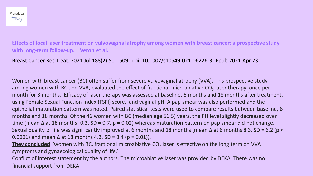**Effects of local laser treatment on vulvovaginal atrophy among women with breast cancer: a prospective study with long-term follow-up. [Veron](https://pubmed.ncbi.nlm.nih.gov/?term=Veron+L&cauthor_id=33891298) et al.**

Breast Cancer Res Treat. 2021 Jul;188(2):501-509. doi: 10.1007/s10549-021-06226-3. Epub 2021 Apr 23.

Women with breast cancer (BC) often suffer from severe vulvovaginal atrophy (VVA). This prospective study among women with BC and VVA, evaluated the effect of fractional microablative CO<sub>2</sub> laser therapy once per month for 3 months. Efficacy of laser therapy was assessed at baseline, 6 months and 18 months after treatment, using Female Sexual Function Index (FSFI) score, and vaginal pH. A pap smear was also performed and the epithelial maturation pattern was noted. Paired statistical tests were used to compare results between baseline, 6 months and 18 months. Of the 46 women with BC (median age 56.5) years, the PH level slightly decreased over time (mean  $\Delta$  at 18 months -0.3, SD = 0.7, p = 0.02) whereas maturation pattern on pap smear did not change. Sexual quality of life was significantly improved at 6 months and 18 months (mean Δ at 6 months 8.3, SD = 6.2 (p < 0.0001) and mean  $\Delta$  at 18 months 4.3, SD = 8.4 (p = 0.01)).

**They concluded** 'women with BC, fractional microablative CO<sub>2</sub> laser is effective on the long term on VVA symptoms and gynaecological quality of life.'

Conflict of interest statement by the authors. The microablative laser was provided by DEKA. There was no financial support from DEKA.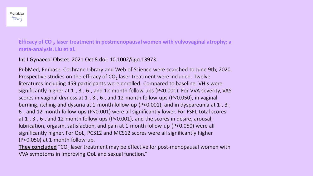**Efficacy of CO <sup>2</sup> laser treatment in postmenopausal women with vulvovaginal atrophy: a meta-analysis. Liu et al.** 

Int J Gynaecol Obstet. 2021 Oct 8.doi: 10.1002/ijgo.13973.

PubMed, Embase, Cochrane Library and Web of Science were searched to June 9th, 2020. Prospective studies on the efficacy of  $CO<sub>2</sub>$  laser treatment were included. Twelve literatures including 459 participants were enrolled. Compared to baseline, VHIs were significantly higher at 1-, 3-, 6-, and 12-month follow-ups (P<0.001). For VVA severity, VAS scores in vaginal dryness at 1-, 3-, 6-, and 12-month follow-ups (P<0.050), in vaginal burning, itching and dysuria at 1-month follow-up (P<0.001), and in dyspareunia at 1-, 3-, 6-, and 12-month follow-ups (P<0.001) were all significantly lower. For FSFI, total scores at 1-, 3-, 6-, and 12-month follow-ups (P<0.001), and the scores in desire, arousal, lubrication, orgasm, satisfaction, and pain at 1-month follow-up (P<0.050) were all significantly higher. For QoL, PCS12 and MCS12 scores were all significantly higher (P<0.050) at 1-month follow-up.

**They concluded** "CO<sub>2</sub> laser treatment may be effective for post-menopausal women with VVA symptoms in improving QoL and sexual function."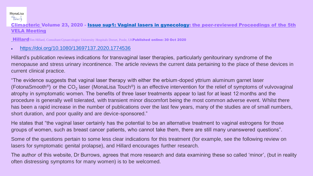#### MonaLisa Fouch

[Climacteric](https://www.tandfonline.com/toc/icmt20/current) Volume 23, 2020 - [Issue sup1: Vaginal lasers in gynecology: the peer-reviewed Proceedings of the 5th](https://www.tandfonline.com/toc/icmt20/23/sup1)  VELA Meeting

[Hillard](https://www.tandfonline.com/author/Hillard%2C+T+C)Tim Hillard, Consultant Gynaecologist University Hospitals Dorset, Poole, UKPublished online: 30 Oct 2020

#### • <https://doi.org/10.1080/13697137.2020.1774536>

Hillard's publication reviews indications for transvaginal laser therapies, particularly genitourinary syndrome of the menopause and stress urinary incontinence. The article reviews the current data pertaining to the place of these devices in current clinical practice.

"The evidence suggests that vaginal laser therapy with either the erbium-doped yttrium aluminum garnet laser (FotonaSmooth®) or the CO<sub>2</sub> laser (MonaLisa Touch®) is an effective intervention for the relief of symptoms of vulvovaginal atrophy in symptomatic women. The benefits of three laser treatments appear to last for at least 12 months and the procedure is generally well tolerated, with transient minor discomfort being the most common adverse event. Whilst there has been a rapid increase in the number of publications over the last few years, many of the studies are of small numbers, short duration, and poor quality and are device-sponsored."

He states that "the vaginal laser certainly has the potential to be an alternative treatment to vaginal estrogens for those groups of women, such as breast cancer patients, who cannot take them, there are still many unanswered questions".

Some of the questions pertain to some less clear indications for this treatment (for example, see the following review on lasers for symptomatic genital prolapse), and Hillard encourages further research.

The author of this website, Dr Burrows, agrees that more research and data examining these so called 'minor', (but in reality often distressing symptoms for many women) is to be welcomed.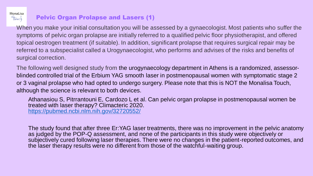

## Pelvic Organ Prolapse and Lasers (1)

When you make your initial consultation you will be assessed by a gynaecologist. Most patients who suffer the symptoms of pelvic organ prolapse are initially referred to a qualified pelvic floor physiotherapist, and offered topical oestrogen treatment (if suitable). In addition, significant prolapse that requires surgical repair may be referred to a subspecialist called a Urogynaecologist, who performs and advises of the risks and benefits of surgical correction.

The following well designed study from the urogynaecology department in Athens is a randomized, assessorblinded controlled trial of the Erbium YAG smooth laser in postmenopausal women with symptomatic stage 2 or 3 vaginal prolapse who had opted to undergo surgery. Please note that this is NOT the Monalisa Touch, although the science is relevant to both devices.

Athanasiou S, Pitrrantouni E, Cardozo L et al. Can pelvic organ prolapse in postmenopausal women be treated with laser therapy? Climacteric 2020. <https://pubmed.ncbi.nlm.nih.gov/32720552/>

The study found that after three Er:YAG laser treatments, there was no improvement in the pelvic anatomy as judged by the POP-Q assessment, and none of the participants in this study were objectively or subjectively cured following laser therapies. There were no changes in the patient-reported outcomes, and the laser therapy results were no different from those of the watchful-waiting group.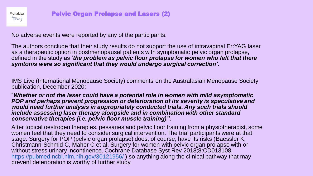

No adverse events were reported by any of the participants.

The authors conclude that their study results do not support the use of intravaginal Er:YAG laser as a therapeutic option in postmenopausal patients with symptomatic pelvic organ prolapse, defined in the study as '*the problem as pelvic floor prolapse for women who felt that there symtoms were so significant that they would undergo surgical correction'***.**

IMS Live (International Menopause Society) comments on the Australasian Menopause Society publication, December 2020:

"*Whether or not the laser could have a potential role in women with mild asymptomatic POP and perhaps prevent progression or deterioration of its severity is speculative and would need further analysis in appropriately conducted trials. Any such trials should include assessing laser therapy alongside and in combination with other standard conservative therapies (i.e. pelvic floor muscle training)".*

After topical oestrogen therapies, pessaries and pelvic floor training from a physiotherapist, some women feel that they need to consider surgical intervention. The trial participants were at that stage. Surgery for POP (pelvic organ prolapse) does, of course, have its risks (Baessler K, Christmann-Schmid C, Maher C et al. Surgery for women with pelvic organ prolapse with or without stress urinary incontinence. Cochrane Database Syst Rev 2018;8:CD013108. <https://pubmed.ncbi.nlm.nih.gov/30121956/>) so anything along the clinical pathway that may prevent deterioration is worthy of further study.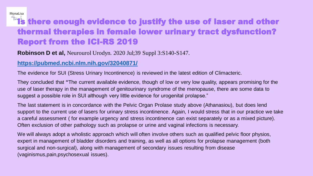# **This there enough evidence to justify the use of laser and other** thermal therapies in female lower urinary tract dysfunction? Report from the ICI-RS 2019

#### **Robinson D et al,** Neurourol Urodyn. 2020 Jul;39 Suppl 3:S140-S147.

#### **<https://pubmed.ncbi.nlm.nih.gov/32040871/>**

MonaLisa

The evidence for SUI (Stress Urinary Incontinence) is reviewed in the latest edition of Climacteric.

They concluded that **"**The current available evidence, though of low or very low quality, appears promising for the use of laser therapy in the management of genitourinary syndrome of the menopause, there are some data to suggest a possible role in SUI although very little evidence for urogenital prolapse."

The last statement is in concordance with the Pelvic Organ Prolase study above (Athanasiou), but does lend support to the current use of lasers for urinary stress incontinence. Again, I would stress that in our practice we take a careful assessment ( for example urgency and stress incontinence can exist separately or as a mixed picture). Often exclusion of other pathology such as prolapse or urine and vaginal infections is necessary.

We will always adopt a wholistic approach which will often involve others such as qualified pelvic floor physios, expert in management of bladder disorders and training, as well as all options for prolapse management (both surgical and non-surgical), along with management of secondary issues resulting from disease (vaginismus,pain,psychosexual issues).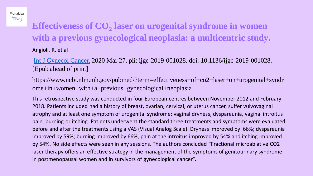# **Effectiveness of CO<sup>2</sup> laser on urogenital syndrome in women with a previous gynecological neoplasia: a multicentric study.** Angioli, R. et al .

MonaLisa Fouch

> [Int J Gynecol](https://www.ncbi.nlm.nih.gov/pubmed/?term=effectiveness+of+co2+laser+on+urogenital+syndrome+in+women+with+a+previous+gynecological+neoplasia) Cancer. 2020 Mar 27. pii: ijgc-2019-001028. doi: 10.1136/ijgc-2019-001028. [Epub ahead of print]

https://www.ncbi.nlm.nih.gov/pubmed/?term=effectiveness+of+co2+laser+on+urogenital+syndr ome+in+women+with+a+previous+gynecological+neoplasia

This retrospective study was conducted in four European centres between November 2012 and February 2018. Patients included had a history of breast, ovarian, cervical, or uterus cancer, suffer vulvovaginal atrophy and at least one symptom of urogenital syndrome: vaginal dryness, dyspareunia, vaginal introitus pain, burning or itching. Patients underwent the standard three treatments and symptoms were evaluated before and after the treatments using a VAS (Visual Analog Scale). Dryness improved by 66%; dyspareunia improved by 59%; burning improved by 66%, pain at the introitus improved by 54% and itching improved by 54%. No side effects were seen in any sessions. The authors concluded "Fractional microablative CO2 laser therapy offers an effective strategy in the management of the symptoms of genitourinary syndrome in postmenopausal women and in survivors of gynecological cancer".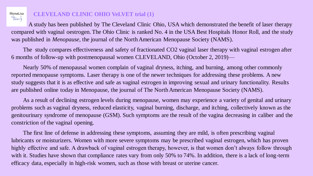

#### **CLEVELAND CLINIC OHIO VeLVET trial (1)**

A study has been published by The Cleveland Clinic Ohio, USA which demonstrated the benefit of laser therapy compared with vaginal oestrogen. The Ohio Clinic is ranked No. 4 in the USA Best Hospitals Honor Roll, and the study was published in *Menopause*, the journal of the North American Menopause Society (NAMS).

The study compares effectiveness and safety of fractionated CO2 vaginal laser therapy with vaginal estrogen after 6 months of follow-up with postmenopausal women CLEVELAND, Ohio (October 2, 2019)—

Nearly 50% of menopausal women complain of vaginal dryness, itching, and burning, among other commonly reported menopause symptoms. Laser therapy is one of the newer techniques for addressing these problems. A new study suggests that it is as effective and safe as vaginal estrogen in improving sexual and urinary functionality. Results are published online today in Menopause, the journal of The North American Menopause Society (NAMS).

As a result of declining estrogen levels during menopause, women may experience a variety of genital and urinary problems such as vaginal dryness, reduced elasticity, vaginal burning, discharge, and itching, collectively known as the genitourinary syndrome of menopause (GSM). Such symptoms are the result of the vagina decreasing in caliber and the constriction of the vaginal opening.

The first line of defense in addressing these symptoms, assuming they are mild, is often prescribing vaginal lubricants or moisturizers. Women with more severe symptoms may be prescribed vaginal estrogen, which has proven highly effective and safe. A drawback of vaginal estrogen therapy, however, is that women don't always follow through with it. Studies have shown that compliance rates vary from only 50% to 74%. In addition, there is a lack of long-term efficacy data, especially in high-risk women, such as those with breast or uterine cancer.